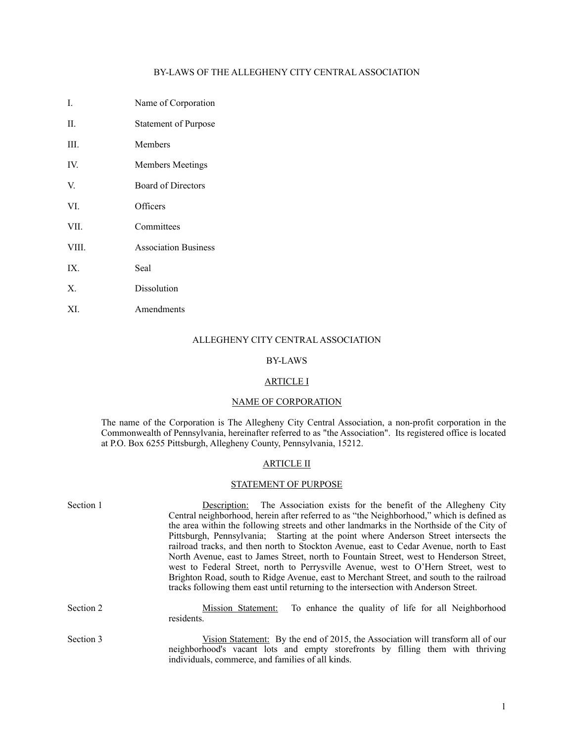# BY-LAWS OF THE ALLEGHENY CITY CENTRAL ASSOCIATION

- I. Name of Corporation
- II. Statement of Purpose
- III. Members
- IV. Members Meetings
- V. Board of Directors
- VI. Officers
- VII. Committees
- VIII. Association Business
- IX. Seal
- X. Dissolution
- XI. Amendments

## ALLEGHENY CITY CENTRAL ASSOCIATION

#### BY-LAWS

#### ARTICLE I

# NAME OF CORPORATION

The name of the Corporation is The Allegheny City Central Association, a non-profit corporation in the Commonwealth of Pennsylvania, hereinafter referred to as "the Association". Its registered office is located at P.O. Box 6255 Pittsburgh, Allegheny County, Pennsylvania, 15212.

### ARTICLE II

# STATEMENT OF PURPOSE

| Section 1 | Description: The Association exists for the benefit of the Allegheny City                                                                                                        |
|-----------|----------------------------------------------------------------------------------------------------------------------------------------------------------------------------------|
|           | Central neighborhood, herein after referred to as "the Neighborhood," which is defined as                                                                                        |
|           | the area within the following streets and other landmarks in the Northside of the City of                                                                                        |
|           | Pittsburgh, Pennsylvania; Starting at the point where Anderson Street intersects the                                                                                             |
|           | railroad tracks, and then north to Stockton Avenue, east to Cedar Avenue, north to East                                                                                          |
|           | North Avenue, east to James Street, north to Fountain Street, west to Henderson Street,                                                                                          |
|           | west to Federal Street, north to Perrysville Avenue, west to O'Hern Street, west to                                                                                              |
|           | Brighton Road, south to Ridge Avenue, east to Merchant Street, and south to the railroad<br>tracks following them east until returning to the intersection with Anderson Street. |
| Section 2 | To enhance the quality of life for all Neighborhood<br>Mission Statement:<br>residents.                                                                                          |
| Section 3 | Vision Statement: By the end of 2015, the Association will transform all of our<br>neighborhood's vacant lots and empty storefronts by filling them with thriving                |

individuals, commerce, and families of all kinds.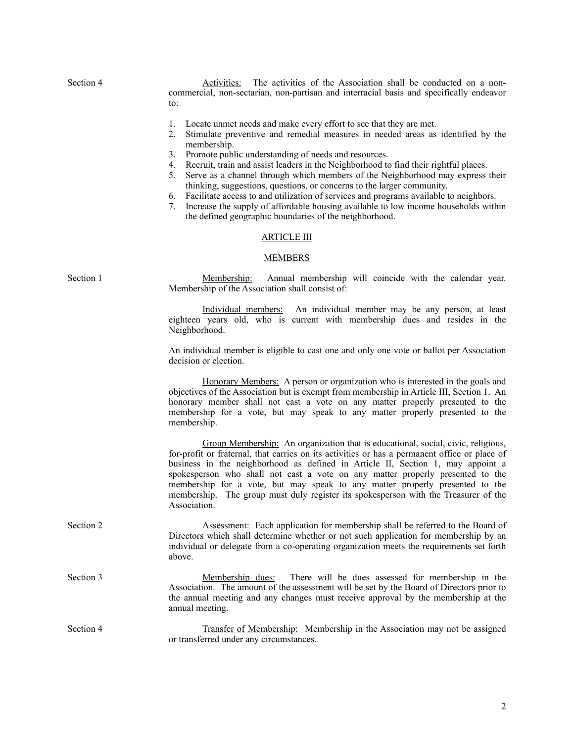Section 4 **Activities**: The activities of the Association shall be conducted on a noncommercial, non-sectarian, non-partisan and interracial basis and specifically endeavor to:

- 1. Locate unmet needs and make every effort to see that they are met.
- 2. Stimulate preventive and remedial measures in needed areas as identified by the membership.
- 3. Promote public understanding of needs and resources.
- 4. Recruit, train and assist leaders in the Neighborhood to find their rightful places.
- 5. Serve as a channel through which members of the Neighborhood may express their thinking, suggestions, questions, or concerns to the larger community.
- 6. Facilitate access to and utilization of services and programs available to neighbors.
- 7. Increase the supply of affordable housing available to low income households within the defined geographic boundaries of the neighborhood.

#### ARTICLE III

#### MEMBERS

Section 1 Membership: Annual membership will coincide with the calendar year. Membership of the Association shall consist of:

> Individual members: An individual member may be any person, at least eighteen years old, who is current with membership dues and resides in the Neighborhood.

> An individual member is eligible to cast one and only one vote or ballot per Association decision or election.

> Honorary Members: A person or organization who is interested in the goals and objectives of the Association but is exempt from membership in Article III, Section 1. An honorary member shall not cast a vote on any matter properly presented to the membership for a vote, but may speak to any matter properly presented to the membership.

> Group Membership: An organization that is educational, social, civic, religious, for-profit or fraternal, that carries on its activities or has a permanent office or place of business in the neighborhood as defined in Article II, Section 1, may appoint a spokesperson who shall not cast a vote on any matter properly presented to the membership for a vote, but may speak to any matter properly presented to the membership. The group must duly register its spokesperson with the Treasurer of the Association.

- Section 2 **Assessment:** Each application for membership shall be referred to the Board of Directors which shall determine whether or not such application for membership by an individual or delegate from a co-operating organization meets the requirements set forth above.
- Section 3 Membership dues: There will be dues assessed for membership in the Association. The amount of the assessment will be set by the Board of Directors prior to the annual meeting and any changes must receive approval by the membership at the annual meeting.
- Section 4 Transfer of Membership: Membership in the Association may not be assigned or transferred under any circumstances.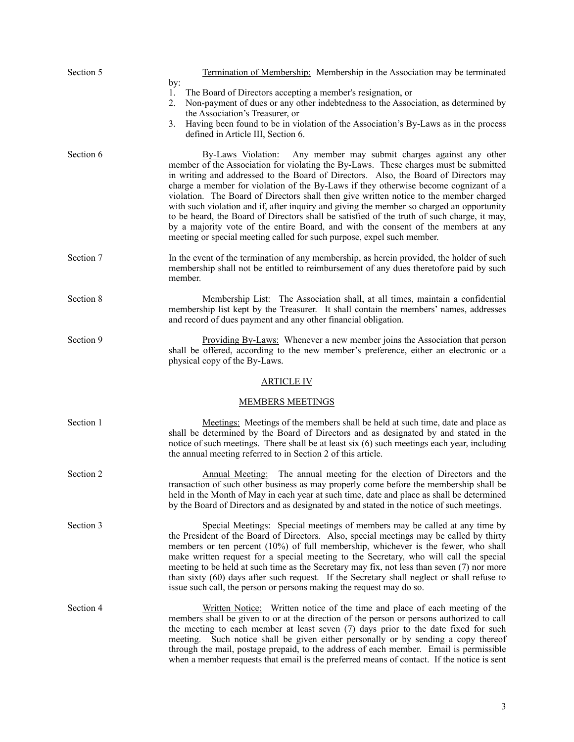| Section 5 | Termination of Membership: Membership in the Association may be terminated<br>by:                                                                                                                                                                                                                                                                                                                                                                                                                                                                                                                                                                                                                                                                                                                   |
|-----------|-----------------------------------------------------------------------------------------------------------------------------------------------------------------------------------------------------------------------------------------------------------------------------------------------------------------------------------------------------------------------------------------------------------------------------------------------------------------------------------------------------------------------------------------------------------------------------------------------------------------------------------------------------------------------------------------------------------------------------------------------------------------------------------------------------|
|           | The Board of Directors accepting a member's resignation, or<br>1.<br>Non-payment of dues or any other indebtedness to the Association, as determined by<br>2.<br>the Association's Treasurer, or                                                                                                                                                                                                                                                                                                                                                                                                                                                                                                                                                                                                    |
|           | Having been found to be in violation of the Association's By-Laws as in the process<br>3.<br>defined in Article III, Section 6.                                                                                                                                                                                                                                                                                                                                                                                                                                                                                                                                                                                                                                                                     |
| Section 6 | Any member may submit charges against any other<br>By-Laws Violation:<br>member of the Association for violating the By-Laws. These charges must be submitted<br>in writing and addressed to the Board of Directors. Also, the Board of Directors may<br>charge a member for violation of the By-Laws if they otherwise become cognizant of a<br>violation. The Board of Directors shall then give written notice to the member charged<br>with such violation and if, after inquiry and giving the member so charged an opportunity<br>to be heard, the Board of Directors shall be satisfied of the truth of such charge, it may,<br>by a majority vote of the entire Board, and with the consent of the members at any<br>meeting or special meeting called for such purpose, expel such member. |
| Section 7 | In the event of the termination of any membership, as herein provided, the holder of such<br>membership shall not be entitled to reimbursement of any dues theretofore paid by such<br>member.                                                                                                                                                                                                                                                                                                                                                                                                                                                                                                                                                                                                      |
| Section 8 | Membership List: The Association shall, at all times, maintain a confidential<br>membership list kept by the Treasurer. It shall contain the members' names, addresses<br>and record of dues payment and any other financial obligation.                                                                                                                                                                                                                                                                                                                                                                                                                                                                                                                                                            |
| Section 9 | Providing By-Laws: Whenever a new member joins the Association that person<br>shall be offered, according to the new member's preference, either an electronic or a<br>physical copy of the By-Laws.                                                                                                                                                                                                                                                                                                                                                                                                                                                                                                                                                                                                |
|           | <b>ARTICLE IV</b>                                                                                                                                                                                                                                                                                                                                                                                                                                                                                                                                                                                                                                                                                                                                                                                   |
|           | <b>MEMBERS MEETINGS</b>                                                                                                                                                                                                                                                                                                                                                                                                                                                                                                                                                                                                                                                                                                                                                                             |
| Section 1 | Meetings: Meetings of the members shall be held at such time, date and place as<br>shall be determined by the Board of Directors and as designated by and stated in the<br>notice of such meetings. There shall be at least six (6) such meetings each year, including<br>the annual meeting referred to in Section 2 of this article.                                                                                                                                                                                                                                                                                                                                                                                                                                                              |
| Section 2 | Annual Meeting: The annual meeting for the election of Directors and the<br>transaction of such other business as may properly come before the membership shall be<br>held in the Month of May in each year at such time, date and place as shall be determined<br>by the Board of Directors and as designated by and stated in the notice of such meetings.                                                                                                                                                                                                                                                                                                                                                                                                                                        |
| Section 3 | Special Meetings: Special meetings of members may be called at any time by<br>the President of the Board of Directors. Also, special meetings may be called by thirty<br>members or ten percent (10%) of full membership, whichever is the fewer, who shall<br>make written request for a special meeting to the Secretary, who will call the special<br>meeting to be held at such time as the Secretary may fix, not less than seven (7) nor more<br>than sixty (60) days after such request. If the Secretary shall neglect or shall refuse to<br>issue such call, the person or persons making the request may do so.                                                                                                                                                                           |
| Section 4 | Written Notice: Written notice of the time and place of each meeting of the<br>members shall be given to or at the direction of the person or persons authorized to call<br>the meeting to each member at least seven (7) days prior to the date fixed for such<br>meeting. Such notice shall be given either personally or by sending a copy thereof<br>through the mail, postage prepaid, to the address of each member. Email is permissible<br>when a member requests that email is the preferred means of contact. If the notice is sent                                                                                                                                                                                                                                                       |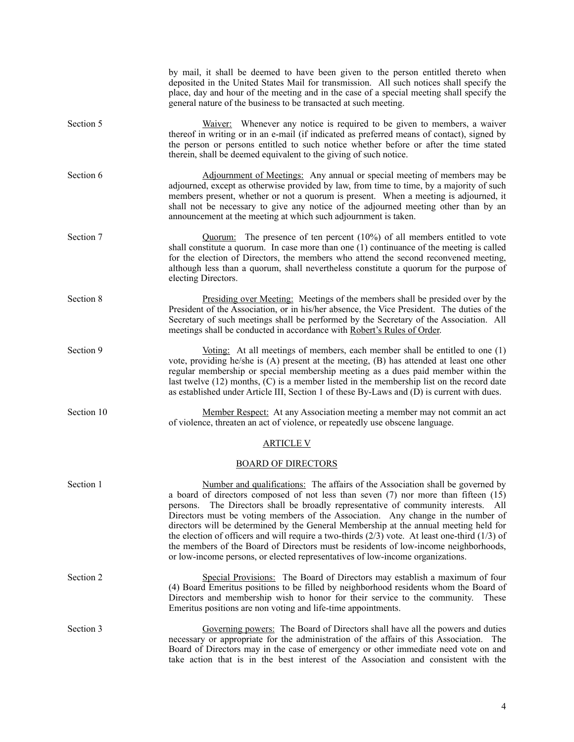|            | by mail, it shall be deemed to have been given to the person entitled thereto when<br>deposited in the United States Mail for transmission. All such notices shall specify the<br>place, day and hour of the meeting and in the case of a special meeting shall specify the<br>general nature of the business to be transacted at such meeting.                                                                                                                                                                                                                                                                                                                                                                          |
|------------|--------------------------------------------------------------------------------------------------------------------------------------------------------------------------------------------------------------------------------------------------------------------------------------------------------------------------------------------------------------------------------------------------------------------------------------------------------------------------------------------------------------------------------------------------------------------------------------------------------------------------------------------------------------------------------------------------------------------------|
| Section 5  | Waiver: Whenever any notice is required to be given to members, a waiver<br>thereof in writing or in an e-mail (if indicated as preferred means of contact), signed by<br>the person or persons entitled to such notice whether before or after the time stated<br>therein, shall be deemed equivalent to the giving of such notice.                                                                                                                                                                                                                                                                                                                                                                                     |
| Section 6  | Adjournment of Meetings: Any annual or special meeting of members may be<br>adjourned, except as otherwise provided by law, from time to time, by a majority of such<br>members present, whether or not a quorum is present. When a meeting is adjourned, it<br>shall not be necessary to give any notice of the adjourned meeting other than by an<br>announcement at the meeting at which such adjournment is taken.                                                                                                                                                                                                                                                                                                   |
| Section 7  | $Quorum$ : The presence of ten percent (10%) of all members entitled to vote<br>shall constitute a quorum. In case more than one $(1)$ continuance of the meeting is called<br>for the election of Directors, the members who attend the second reconvened meeting,<br>although less than a quorum, shall nevertheless constitute a quorum for the purpose of<br>electing Directors.                                                                                                                                                                                                                                                                                                                                     |
| Section 8  | <u>Presiding over Meeting:</u> Meetings of the members shall be presided over by the<br>President of the Association, or in his/her absence, the Vice President. The duties of the<br>Secretary of such meetings shall be performed by the Secretary of the Association. All<br>meetings shall be conducted in accordance with Robert's Rules of Order.                                                                                                                                                                                                                                                                                                                                                                  |
| Section 9  | Voting: At all meetings of members, each member shall be entitled to one $(1)$<br>vote, providing he/she is (A) present at the meeting, (B) has attended at least one other<br>regular membership or special membership meeting as a dues paid member within the<br>last twelve $(12)$ months, $(C)$ is a member listed in the membership list on the record date<br>as established under Article III, Section 1 of these By-Laws and (D) is current with dues.                                                                                                                                                                                                                                                          |
| Section 10 | Member Respect: At any Association meeting a member may not commit an act<br>of violence, threaten an act of violence, or repeatedly use obscene language.                                                                                                                                                                                                                                                                                                                                                                                                                                                                                                                                                               |
|            | <b>ARTICLE V</b>                                                                                                                                                                                                                                                                                                                                                                                                                                                                                                                                                                                                                                                                                                         |
|            | <b>BOARD OF DIRECTORS</b>                                                                                                                                                                                                                                                                                                                                                                                                                                                                                                                                                                                                                                                                                                |
| Section 1  | Number and qualifications: The affairs of the Association shall be governed by<br>a board of directors composed of not less than seven (7) nor more than fifteen (15)<br>persons. The Directors shall be broadly representative of community interests. All<br>Directors must be voting members of the Association. Any change in the number of<br>directors will be determined by the General Membership at the annual meeting held for<br>the election of officers and will require a two-thirds $(2/3)$ vote. At least one-third $(1/3)$ of<br>the members of the Board of Directors must be residents of low-income neighborhoods,<br>or low-income persons, or elected representatives of low-income organizations. |
| Section 2  | Special Provisions: The Board of Directors may establish a maximum of four<br>(4) Board Emeritus positions to be filled by neighborhood residents whom the Board of<br>Directors and membership wish to honor for their service to the community.<br>These<br>Emeritus positions are non voting and life-time appointments.                                                                                                                                                                                                                                                                                                                                                                                              |
| Section 3  | Governing powers: The Board of Directors shall have all the powers and duties<br>necessary or appropriate for the administration of the affairs of this Association. The<br>Board of Directors may in the case of emergency or other immediate need vote on and<br>take action that is in the best interest of the Association and consistent with the                                                                                                                                                                                                                                                                                                                                                                   |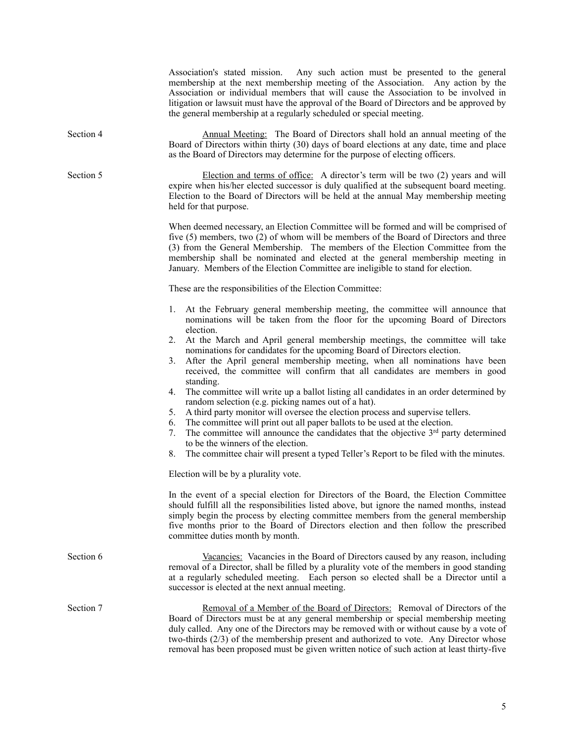|           | Association's stated mission. Any such action must be presented to the general<br>membership at the next membership meeting of the Association. Any action by the<br>Association or individual members that will cause the Association to be involved in<br>litigation or lawsuit must have the approval of the Board of Directors and be approved by<br>the general membership at a regularly scheduled or special meeting.                                                                                                                                       |
|-----------|--------------------------------------------------------------------------------------------------------------------------------------------------------------------------------------------------------------------------------------------------------------------------------------------------------------------------------------------------------------------------------------------------------------------------------------------------------------------------------------------------------------------------------------------------------------------|
| Section 4 | Annual Meeting: The Board of Directors shall hold an annual meeting of the<br>Board of Directors within thirty (30) days of board elections at any date, time and place<br>as the Board of Directors may determine for the purpose of electing officers.                                                                                                                                                                                                                                                                                                           |
| Section 5 | Election and terms of office: A director's term will be two (2) years and will<br>expire when his/her elected successor is duly qualified at the subsequent board meeting.<br>Election to the Board of Directors will be held at the annual May membership meeting<br>held for that purpose.                                                                                                                                                                                                                                                                       |
|           | When deemed necessary, an Election Committee will be formed and will be comprised of<br>five (5) members, two (2) of whom will be members of the Board of Directors and three<br>(3) from the General Membership. The members of the Election Committee from the<br>membership shall be nominated and elected at the general membership meeting in<br>January. Members of the Election Committee are ineligible to stand for election.                                                                                                                             |
|           | These are the responsibilities of the Election Committee:                                                                                                                                                                                                                                                                                                                                                                                                                                                                                                          |
|           | At the February general membership meeting, the committee will announce that<br>1.<br>nominations will be taken from the floor for the upcoming Board of Directors<br>election.                                                                                                                                                                                                                                                                                                                                                                                    |
|           | At the March and April general membership meetings, the committee will take<br>2.<br>nominations for candidates for the upcoming Board of Directors election.<br>After the April general membership meeting, when all nominations have been<br>3.<br>received, the committee will confirm that all candidates are members in good<br>standing.                                                                                                                                                                                                                     |
|           | The committee will write up a ballot listing all candidates in an order determined by<br>4.<br>random selection (e.g. picking names out of a hat).<br>5.<br>A third party monitor will oversee the election process and supervise tellers.<br>The committee will print out all paper ballots to be used at the election.<br>6.<br>The committee will announce the candidates that the objective $3rd$ party determined<br>7.<br>to be the winners of the election.<br>The committee chair will present a typed Teller's Report to be filed with the minutes.<br>8. |
|           | Election will be by a plurality vote.                                                                                                                                                                                                                                                                                                                                                                                                                                                                                                                              |
|           | In the event of a special election for Directors of the Board, the Election Committee<br>should fulfill all the responsibilities listed above, but ignore the named months, instead<br>simply begin the process by electing committee members from the general membership<br>five months prior to the Board of Directors election and then follow the prescribed<br>committee duties month by month.                                                                                                                                                               |
| Section 6 | Vacancies: Vacancies in the Board of Directors caused by any reason, including<br>removal of a Director, shall be filled by a plurality vote of the members in good standing<br>at a regularly scheduled meeting. Each person so elected shall be a Director until a<br>successor is elected at the next annual meeting.                                                                                                                                                                                                                                           |
| Section 7 | Removal of a Member of the Board of Directors: Removal of Directors of the<br>Board of Directors must be at any general membership or special membership meeting<br>duly called. Any one of the Directors may be removed with or without cause by a vote of<br>two-thirds (2/3) of the membership present and authorized to vote. Any Director whose<br>removal has been proposed must be given written notice of such action at least thirty-five                                                                                                                 |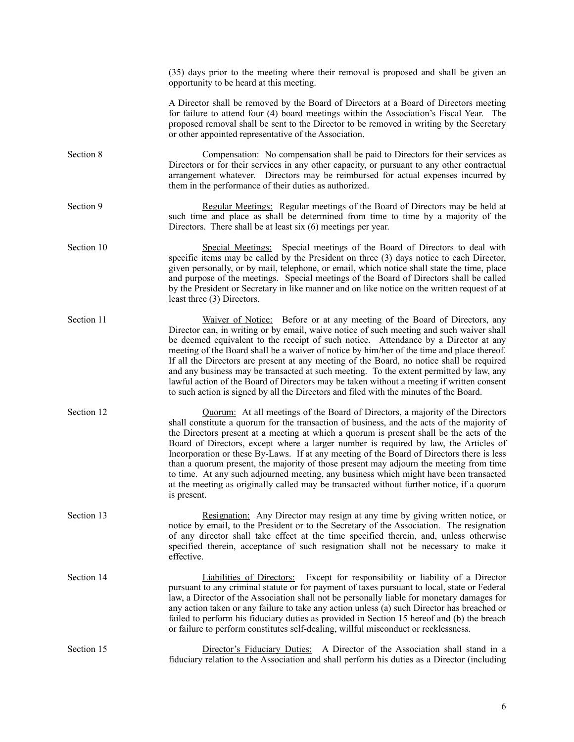|            | (35) days prior to the meeting where their removal is proposed and shall be given an<br>opportunity to be heard at this meeting.                                                                                                                                                                                                                                                                                                                                                                                                                                                                                                                                                                                                                             |
|------------|--------------------------------------------------------------------------------------------------------------------------------------------------------------------------------------------------------------------------------------------------------------------------------------------------------------------------------------------------------------------------------------------------------------------------------------------------------------------------------------------------------------------------------------------------------------------------------------------------------------------------------------------------------------------------------------------------------------------------------------------------------------|
|            | A Director shall be removed by the Board of Directors at a Board of Directors meeting<br>for failure to attend four (4) board meetings within the Association's Fiscal Year. The<br>proposed removal shall be sent to the Director to be removed in writing by the Secretary<br>or other appointed representative of the Association.                                                                                                                                                                                                                                                                                                                                                                                                                        |
| Section 8  | Compensation: No compensation shall be paid to Directors for their services as<br>Directors or for their services in any other capacity, or pursuant to any other contractual<br>arrangement whatever. Directors may be reimbursed for actual expenses incurred by<br>them in the performance of their duties as authorized.                                                                                                                                                                                                                                                                                                                                                                                                                                 |
| Section 9  | Regular Meetings: Regular meetings of the Board of Directors may be held at<br>such time and place as shall be determined from time to time by a majority of the<br>Directors. There shall be at least $six(6)$ meetings per year.                                                                                                                                                                                                                                                                                                                                                                                                                                                                                                                           |
| Section 10 | Special Meetings: Special meetings of the Board of Directors to deal with<br>specific items may be called by the President on three (3) days notice to each Director,<br>given personally, or by mail, telephone, or email, which notice shall state the time, place<br>and purpose of the meetings. Special meetings of the Board of Directors shall be called<br>by the President or Secretary in like manner and on like notice on the written request of at<br>least three (3) Directors.                                                                                                                                                                                                                                                                |
| Section 11 | Waiver of Notice: Before or at any meeting of the Board of Directors, any<br>Director can, in writing or by email, waive notice of such meeting and such waiver shall<br>be deemed equivalent to the receipt of such notice. Attendance by a Director at any<br>meeting of the Board shall be a waiver of notice by him/her of the time and place thereof.<br>If all the Directors are present at any meeting of the Board, no notice shall be required<br>and any business may be transacted at such meeting. To the extent permitted by law, any<br>lawful action of the Board of Directors may be taken without a meeting if written consent<br>to such action is signed by all the Directors and filed with the minutes of the Board.                    |
| Section 12 | Quorum: At all meetings of the Board of Directors, a majority of the Directors<br>shall constitute a quorum for the transaction of business, and the acts of the majority of<br>the Directors present at a meeting at which a quorum is present shall be the acts of the<br>Board of Directors, except where a larger number is required by law, the Articles of<br>Incorporation or these By-Laws. If at any meeting of the Board of Directors there is less<br>than a quorum present, the majority of those present may adjourn the meeting from time<br>to time. At any such adjourned meeting, any business which might have been transacted<br>at the meeting as originally called may be transacted without further notice, if a quorum<br>is present. |
| Section 13 | Resignation: Any Director may resign at any time by giving written notice, or<br>notice by email, to the President or to the Secretary of the Association. The resignation<br>of any director shall take effect at the time specified therein, and, unless otherwise<br>specified therein, acceptance of such resignation shall not be necessary to make it<br>effective.                                                                                                                                                                                                                                                                                                                                                                                    |
| Section 14 | Liabilities of Directors: Except for responsibility or liability of a Director<br>pursuant to any criminal statute or for payment of taxes pursuant to local, state or Federal<br>law, a Director of the Association shall not be personally liable for monetary damages for<br>any action taken or any failure to take any action unless (a) such Director has breached or<br>failed to perform his fiduciary duties as provided in Section 15 hereof and (b) the breach<br>or failure to perform constitutes self-dealing, willful misconduct or recklessness.                                                                                                                                                                                             |
| Section 15 | Director's Fiduciary Duties: A Director of the Association shall stand in a<br>fiduciary relation to the Association and shall perform his duties as a Director (including                                                                                                                                                                                                                                                                                                                                                                                                                                                                                                                                                                                   |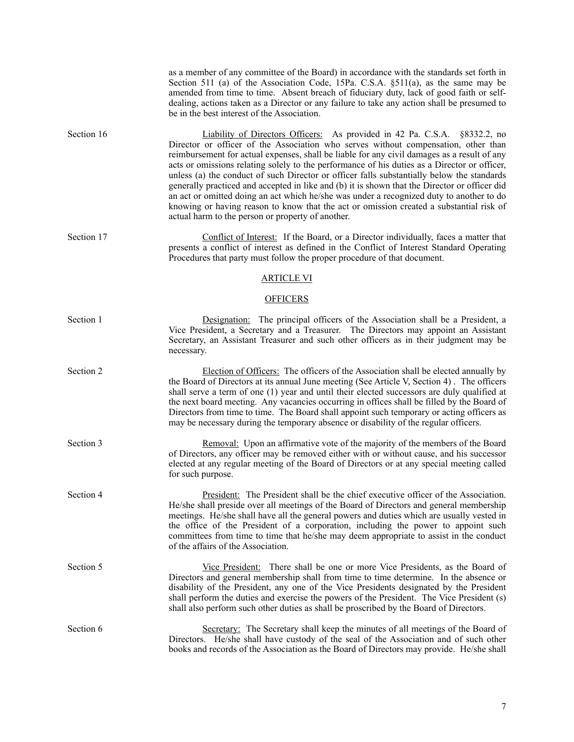|            | as a member of any committee of the Board) in accordance with the standards set forth in<br>Section 511 (a) of the Association Code, 15Pa. C.S.A. §511(a), as the same may be<br>amended from time to time. Absent breach of fiduciary duty, lack of good faith or self-<br>dealing, actions taken as a Director or any failure to take any action shall be presumed to<br>be in the best interest of the Association.                                                                                                                                                                                                                                                                                                                                                                                    |
|------------|-----------------------------------------------------------------------------------------------------------------------------------------------------------------------------------------------------------------------------------------------------------------------------------------------------------------------------------------------------------------------------------------------------------------------------------------------------------------------------------------------------------------------------------------------------------------------------------------------------------------------------------------------------------------------------------------------------------------------------------------------------------------------------------------------------------|
| Section 16 | Liability of Directors Officers: As provided in 42 Pa. C.S.A. §8332.2, no<br>Director or officer of the Association who serves without compensation, other than<br>reimbursement for actual expenses, shall be liable for any civil damages as a result of any<br>acts or omissions relating solely to the performance of his duties as a Director or officer,<br>unless (a) the conduct of such Director or officer falls substantially below the standards<br>generally practiced and accepted in like and (b) it is shown that the Director or officer did<br>an act or omitted doing an act which he/she was under a recognized duty to another to do<br>knowing or having reason to know that the act or omission created a substantial risk of<br>actual harm to the person or property of another. |
| Section 17 | Conflict of Interest: If the Board, or a Director individually, faces a matter that<br>presents a conflict of interest as defined in the Conflict of Interest Standard Operating<br>Procedures that party must follow the proper procedure of that document.                                                                                                                                                                                                                                                                                                                                                                                                                                                                                                                                              |
|            | <b>ARTICLE VI</b>                                                                                                                                                                                                                                                                                                                                                                                                                                                                                                                                                                                                                                                                                                                                                                                         |
|            | <b>OFFICERS</b>                                                                                                                                                                                                                                                                                                                                                                                                                                                                                                                                                                                                                                                                                                                                                                                           |
| Section 1  | Designation: The principal officers of the Association shall be a President, a<br>Vice President, a Secretary and a Treasurer. The Directors may appoint an Assistant<br>Secretary, an Assistant Treasurer and such other officers as in their judgment may be<br>necessary.                                                                                                                                                                                                                                                                                                                                                                                                                                                                                                                              |
| Section 2  | Election of Officers: The officers of the Association shall be elected annually by<br>the Board of Directors at its annual June meeting (See Article V, Section 4). The officers<br>shall serve a term of one (1) year and until their elected successors are duly qualified at<br>the next board meeting. Any vacancies occurring in offices shall be filled by the Board of<br>Directors from time to time. The Board shall appoint such temporary or acting officers as<br>may be necessary during the temporary absence or disability of the regular officers.                                                                                                                                                                                                                                        |
| Section 3  | Removal: Upon an affirmative vote of the majority of the members of the Board<br>of Directors, any officer may be removed either with or without cause, and his successor<br>elected at any regular meeting of the Board of Directors or at any special meeting called<br>for such purpose.                                                                                                                                                                                                                                                                                                                                                                                                                                                                                                               |
| Section 4  | President: The President shall be the chief executive officer of the Association.<br>He/she shall preside over all meetings of the Board of Directors and general membership<br>meetings. He/she shall have all the general powers and duties which are usually vested in<br>the office of the President of a corporation, including the power to appoint such<br>committees from time to time that he/she may deem appropriate to assist in the conduct<br>of the affairs of the Association.                                                                                                                                                                                                                                                                                                            |
| Section 5  | <u>Vice President:</u> There shall be one or more Vice Presidents, as the Board of<br>Directors and general membership shall from time to time determine. In the absence or<br>disability of the President, any one of the Vice Presidents designated by the President<br>shall perform the duties and exercise the powers of the President. The Vice President (s)<br>shall also perform such other duties as shall be proscribed by the Board of Directors.                                                                                                                                                                                                                                                                                                                                             |
| Section 6  | Secretary: The Secretary shall keep the minutes of all meetings of the Board of<br>Directors. He/she shall have custody of the seal of the Association and of such other<br>books and records of the Association as the Board of Directors may provide. He/she shall                                                                                                                                                                                                                                                                                                                                                                                                                                                                                                                                      |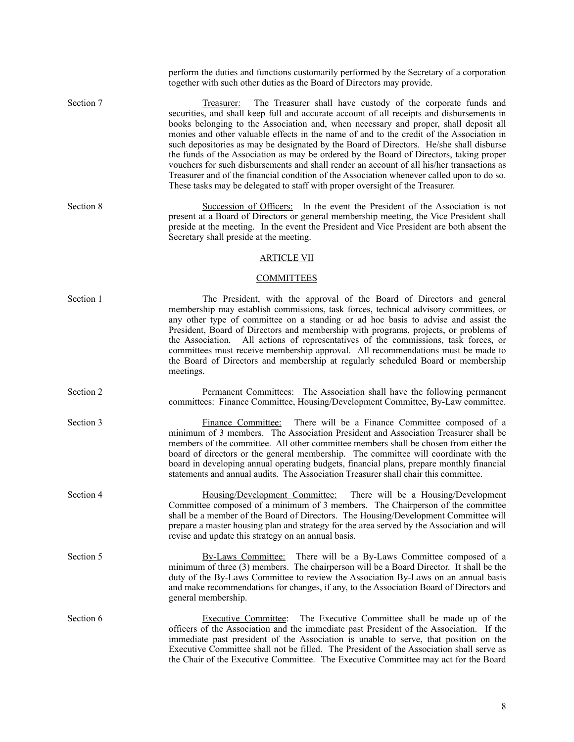|           | perform the duties and functions customarily performed by the Secretary of a corporation<br>together with such other duties as the Board of Directors may provide.                                                                                                                                                                                                                                                                                                                                                                                                                                                                                                                                                                                                                                                            |
|-----------|-------------------------------------------------------------------------------------------------------------------------------------------------------------------------------------------------------------------------------------------------------------------------------------------------------------------------------------------------------------------------------------------------------------------------------------------------------------------------------------------------------------------------------------------------------------------------------------------------------------------------------------------------------------------------------------------------------------------------------------------------------------------------------------------------------------------------------|
| Section 7 | The Treasurer shall have custody of the corporate funds and<br>Treasurer:<br>securities, and shall keep full and accurate account of all receipts and disbursements in<br>books belonging to the Association and, when necessary and proper, shall deposit all<br>monies and other valuable effects in the name of and to the credit of the Association in<br>such depositories as may be designated by the Board of Directors. He/she shall disburse<br>the funds of the Association as may be ordered by the Board of Directors, taking proper<br>vouchers for such disbursements and shall render an account of all his/her transactions as<br>Treasurer and of the financial condition of the Association whenever called upon to do so.<br>These tasks may be delegated to staff with proper oversight of the Treasurer. |
| Section 8 | Succession of Officers: In the event the President of the Association is not<br>present at a Board of Directors or general membership meeting, the Vice President shall<br>preside at the meeting. In the event the President and Vice President are both absent the<br>Secretary shall preside at the meeting.                                                                                                                                                                                                                                                                                                                                                                                                                                                                                                               |
|           | <b>ARTICLE VII</b>                                                                                                                                                                                                                                                                                                                                                                                                                                                                                                                                                                                                                                                                                                                                                                                                            |
|           | <b>COMMITTEES</b>                                                                                                                                                                                                                                                                                                                                                                                                                                                                                                                                                                                                                                                                                                                                                                                                             |
| Section 1 | The President, with the approval of the Board of Directors and general<br>membership may establish commissions, task forces, technical advisory committees, or<br>any other type of committee on a standing or ad hoc basis to advise and assist the<br>President, Board of Directors and membership with programs, projects, or problems of<br>the Association. All actions of representatives of the commissions, task forces, or<br>committees must receive membership approval. All recommendations must be made to<br>the Board of Directors and membership at regularly scheduled Board or membership<br>meetings.                                                                                                                                                                                                      |
| Section 2 | Permanent Committees: The Association shall have the following permanent<br>committees: Finance Committee, Housing/Development Committee, By-Law committee.                                                                                                                                                                                                                                                                                                                                                                                                                                                                                                                                                                                                                                                                   |
| Section 3 | There will be a Finance Committee composed of a<br>Finance Committee:<br>minimum of 3 members. The Association President and Association Treasurer shall be<br>members of the committee. All other committee members shall be chosen from either the<br>board of directors or the general membership. The committee will coordinate with the<br>board in developing annual operating budgets, financial plans, prepare monthly financial<br>statements and annual audits. The Association Treasurer shall chair this committee.                                                                                                                                                                                                                                                                                               |
| Section 4 | Housing/Development Committee: There will be a Housing/Development<br>Committee composed of a minimum of 3 members. The Chairperson of the committee<br>shall be a member of the Board of Directors. The Housing/Development Committee will<br>prepare a master housing plan and strategy for the area served by the Association and will<br>revise and update this strategy on an annual basis.                                                                                                                                                                                                                                                                                                                                                                                                                              |
| Section 5 | By-Laws Committee: There will be a By-Laws Committee composed of a<br>minimum of three (3) members. The chairperson will be a Board Director. It shall be the<br>duty of the By-Laws Committee to review the Association By-Laws on an annual basis<br>and make recommendations for changes, if any, to the Association Board of Directors and<br>general membership.                                                                                                                                                                                                                                                                                                                                                                                                                                                         |
| Section 6 | Executive Committee: The Executive Committee shall be made up of the<br>officers of the Association and the immediate past President of the Association. If the<br>immediate past president of the Association is unable to serve, that position on the<br>Executive Committee shall not be filled. The President of the Association shall serve as<br>the Chair of the Executive Committee. The Executive Committee may act for the Board                                                                                                                                                                                                                                                                                                                                                                                    |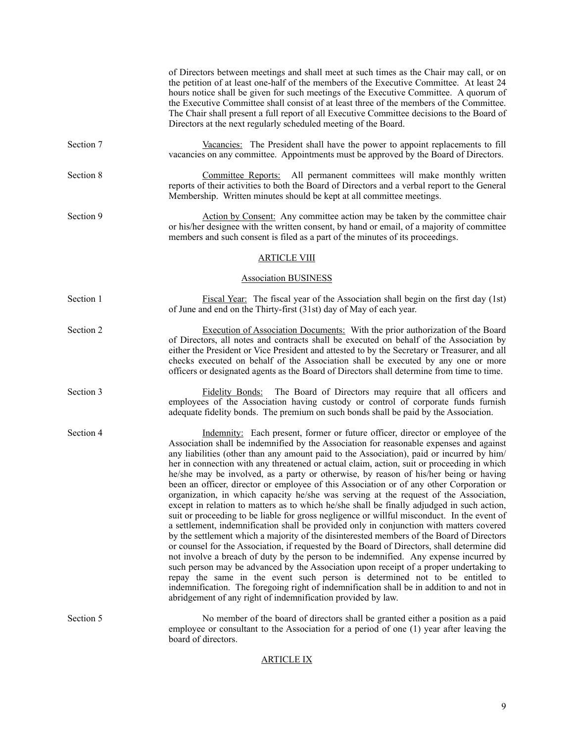|           | of Directors between meetings and shall meet at such times as the Chair may call, or on<br>the petition of at least one-half of the members of the Executive Committee. At least 24<br>hours notice shall be given for such meetings of the Executive Committee. A quorum of<br>the Executive Committee shall consist of at least three of the members of the Committee.<br>The Chair shall present a full report of all Executive Committee decisions to the Board of<br>Directors at the next regularly scheduled meeting of the Board.                                                                                                                                                                                                                                                                                                                                                                                                                                                                                                                                                                                                                                                                                                                                                                                                                                                                                                                                                                                                                               |
|-----------|-------------------------------------------------------------------------------------------------------------------------------------------------------------------------------------------------------------------------------------------------------------------------------------------------------------------------------------------------------------------------------------------------------------------------------------------------------------------------------------------------------------------------------------------------------------------------------------------------------------------------------------------------------------------------------------------------------------------------------------------------------------------------------------------------------------------------------------------------------------------------------------------------------------------------------------------------------------------------------------------------------------------------------------------------------------------------------------------------------------------------------------------------------------------------------------------------------------------------------------------------------------------------------------------------------------------------------------------------------------------------------------------------------------------------------------------------------------------------------------------------------------------------------------------------------------------------|
| Section 7 | Vacancies: The President shall have the power to appoint replacements to fill<br>vacancies on any committee. Appointments must be approved by the Board of Directors.                                                                                                                                                                                                                                                                                                                                                                                                                                                                                                                                                                                                                                                                                                                                                                                                                                                                                                                                                                                                                                                                                                                                                                                                                                                                                                                                                                                                   |
| Section 8 | <b>Committee Reports:</b> All permanent committees will make monthly written<br>reports of their activities to both the Board of Directors and a verbal report to the General<br>Membership. Written minutes should be kept at all committee meetings.                                                                                                                                                                                                                                                                                                                                                                                                                                                                                                                                                                                                                                                                                                                                                                                                                                                                                                                                                                                                                                                                                                                                                                                                                                                                                                                  |
| Section 9 | Action by Consent: Any committee action may be taken by the committee chair<br>or his/her designee with the written consent, by hand or email, of a majority of committee<br>members and such consent is filed as a part of the minutes of its proceedings.                                                                                                                                                                                                                                                                                                                                                                                                                                                                                                                                                                                                                                                                                                                                                                                                                                                                                                                                                                                                                                                                                                                                                                                                                                                                                                             |
|           | <b>ARTICLE VIII</b>                                                                                                                                                                                                                                                                                                                                                                                                                                                                                                                                                                                                                                                                                                                                                                                                                                                                                                                                                                                                                                                                                                                                                                                                                                                                                                                                                                                                                                                                                                                                                     |
|           | <b>Association BUSINESS</b>                                                                                                                                                                                                                                                                                                                                                                                                                                                                                                                                                                                                                                                                                                                                                                                                                                                                                                                                                                                                                                                                                                                                                                                                                                                                                                                                                                                                                                                                                                                                             |
| Section 1 | Fiscal Year: The fiscal year of the Association shall begin on the first day (1st)<br>of June and end on the Thirty-first (31st) day of May of each year.                                                                                                                                                                                                                                                                                                                                                                                                                                                                                                                                                                                                                                                                                                                                                                                                                                                                                                                                                                                                                                                                                                                                                                                                                                                                                                                                                                                                               |
| Section 2 | Execution of Association Documents: With the prior authorization of the Board<br>of Directors, all notes and contracts shall be executed on behalf of the Association by<br>either the President or Vice President and attested to by the Secretary or Treasurer, and all<br>checks executed on behalf of the Association shall be executed by any one or more<br>officers or designated agents as the Board of Directors shall determine from time to time.                                                                                                                                                                                                                                                                                                                                                                                                                                                                                                                                                                                                                                                                                                                                                                                                                                                                                                                                                                                                                                                                                                            |
| Section 3 | Fidelity Bonds: The Board of Directors may require that all officers and<br>employees of the Association having custody or control of corporate funds furnish<br>adequate fidelity bonds. The premium on such bonds shall be paid by the Association.                                                                                                                                                                                                                                                                                                                                                                                                                                                                                                                                                                                                                                                                                                                                                                                                                                                                                                                                                                                                                                                                                                                                                                                                                                                                                                                   |
| Section 4 | Indemnity: Each present, former or future officer, director or employee of the<br>Association shall be indemnified by the Association for reasonable expenses and against<br>any liabilities (other than any amount paid to the Association), paid or incurred by him/<br>her in connection with any threatened or actual claim, action, suit or proceeding in which<br>he/she may be involved, as a party or otherwise, by reason of his/her being or having<br>been an officer, director or employee of this Association or of any other Corporation or<br>organization, in which capacity he/she was serving at the request of the Association,<br>except in relation to matters as to which he/she shall be finally adjudged in such action,<br>suit or proceeding to be liable for gross negligence or willful misconduct. In the event of<br>a settlement, indemnification shall be provided only in conjunction with matters covered<br>by the settlement which a majority of the disinterested members of the Board of Directors<br>or counsel for the Association, if requested by the Board of Directors, shall determine did<br>not involve a breach of duty by the person to be indemnified. Any expense incurred by<br>such person may be advanced by the Association upon receipt of a proper undertaking to<br>repay the same in the event such person is determined not to be entitled to<br>indemnification. The foregoing right of indemnification shall be in addition to and not in<br>abridgement of any right of indemnification provided by law. |
| Section 5 | No member of the board of directors shall be granted either a position as a paid<br>employee or consultant to the Association for a period of one (1) year after leaving the<br>board of directors.                                                                                                                                                                                                                                                                                                                                                                                                                                                                                                                                                                                                                                                                                                                                                                                                                                                                                                                                                                                                                                                                                                                                                                                                                                                                                                                                                                     |
|           |                                                                                                                                                                                                                                                                                                                                                                                                                                                                                                                                                                                                                                                                                                                                                                                                                                                                                                                                                                                                                                                                                                                                                                                                                                                                                                                                                                                                                                                                                                                                                                         |

# ARTICLE IX